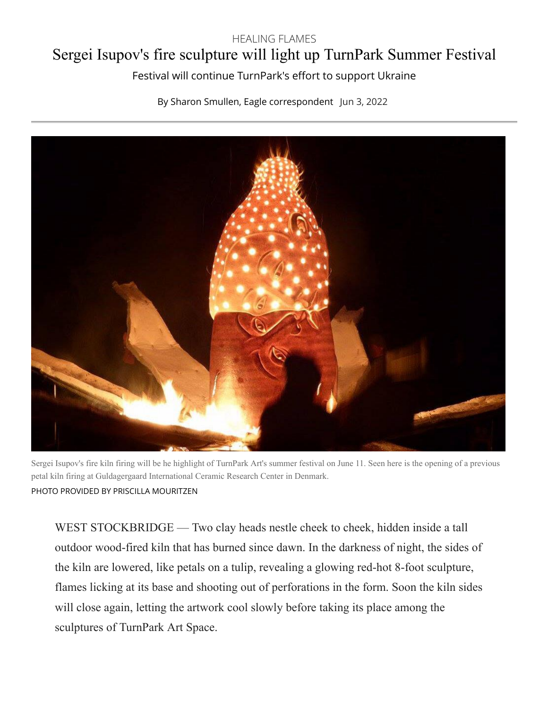## HEALING FLAMES

## Sergei Isupov's fire sculpture will light up TurnPark Summer Festival

Festival will continue TurnPark's effort to support Ukraine

By Sharon Smullen, Eagle correspondent Jun 3, 2022



Sergei Isupov's fire kiln firing will be he highlight of TurnPark Art's summer festival on June 11. Seen here is the opening of a previous petal kiln firing at Guldagergaard International Ceramic Research Center in Denmark. PHOTO PROVIDED BY PRISCILLA MOURITZEN

WEST STOCKBRIDGE — Two clay heads nestle cheek to cheek, hidden inside a tall outdoor wood-fired kiln that has burned since dawn. In the darkness of night, the sides of the kiln are lowered, like petals on a tulip, revealing a glowing red-hot 8-foot sculpture, flames licking at its base and shooting out of perforations in the form. Soon the kiln sides will close again, letting the artwork cool slowly before taking its place among the sculptures of TurnPark Art Space.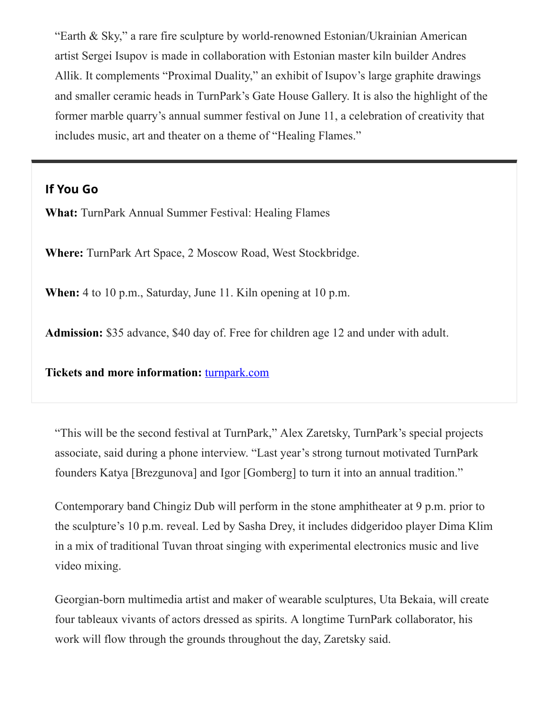"Earth & Sky," a rare fire sculpture by world-renowned Estonian/Ukrainian American artist Sergei Isupov is made in collaboration with Estonian master kiln builder Andres Allik. It complements "Proximal Duality," an exhibit of Isupov's large graphite drawings and smaller ceramic heads in TurnPark's Gate House Gallery. It is also the highlight of the former marble quarry's annual summer festival on June 11, a celebration of creativity that includes music, art and theater on a theme of "Healing Flames."

## **If You Go**

**What:** TurnPark Annual Summer Festival: Healing Flames

**Where:** TurnPark Art Space, 2 Moscow Road, West Stockbridge.

**When:** 4 to 10 p.m., Saturday, June 11. Kiln opening at 10 p.m.

**Admission:** \$35 advance, \$40 day of. Free for children age 12 and under with adult.

**Tickets and more information:** [turnpark.com](https://www.turnpark.com/)

"This will be the second festival at TurnPark," Alex Zaretsky, TurnPark's special projects associate, said during a phone interview. "Last year's strong turnout motivated TurnPark founders Katya [Brezgunova] and Igor [Gomberg] to turn it into an annual tradition."

Contemporary band Chingiz Dub will perform in the stone amphitheater at 9 p.m. prior to the sculpture's 10 p.m. reveal. Led by Sasha Drey, it includes didgeridoo player Dima Klim in a mix of traditional Tuvan throat singing with experimental electronics music and live video mixing.

Georgian-born multimedia artist and maker of wearable sculptures, Uta Bekaia, will create four tableaux vivants of actors dressed as spirits. A longtime TurnPark collaborator, his work will flow through the grounds throughout the day, Zaretsky said.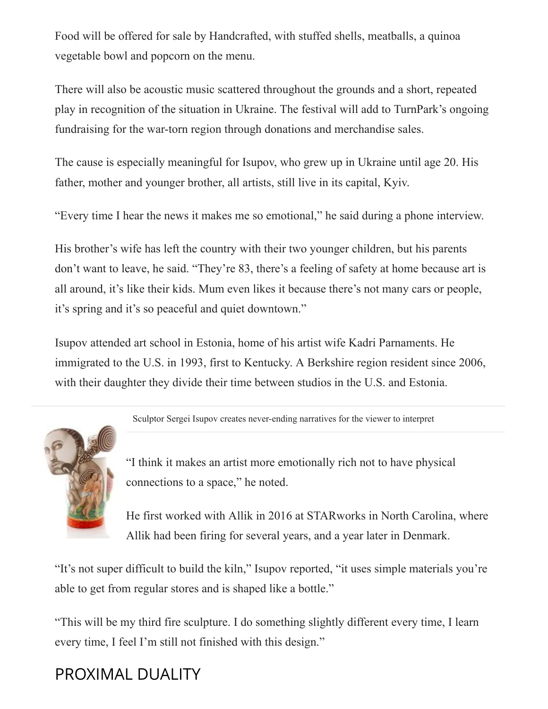Food will be offered for sale by Handcrafted, with stuffed shells, meatballs, a quinoa vegetable bowl and popcorn on the menu.

There will also be acoustic music scattered throughout the grounds and a short, repeated play in recognition of the situation in Ukraine. The festival will add to TurnPark's ongoing fundraising for the war-torn region through donations and merchandise sales.

The cause is especially meaningful for Isupov, who grew up in Ukraine until age 20. His father, mother and younger brother, all artists, still live in its capital, Kyiv.

"Every time I hear the news it makes me so emotional," he said during a phone interview.

His brother's wife has left the country with their two younger children, but his parents don't want to leave, he said. "They're 83, there's a feeling of safety at home because art is all around, it's like their kids. Mum even likes it because there's not many cars or people, it's spring and it's so peaceful and quiet downtown."

Isupov attended art school in Estonia, home of his artist wife Kadri Parnaments. He immigrated to the U.S. in 1993, first to Kentucky. A Berkshire region resident since 2006, with their daughter they divide their time between studios in the U.S. and Estonia.

[Sculptor Sergei Isupov creates never-ending narratives for the viewer to interpret](https://www.berkshireeagle.com/arts_and_culture/arts-theater/sergei-isupov-ferrin-contemporary-north-adams-mass-moca/article_ee67d80c-cc8c-11ec-926f-cbb126361217.html)



["](https://www.berkshireeagle.com/arts_and_culture/arts-theater/sergei-isupov-ferrin-contemporary-north-adams-mass-moca/article_ee67d80c-cc8c-11ec-926f-cbb126361217.html)I think it makes an artist more emotionally rich not to have physical connections to a space," he noted.

He first worked with Allik in 2016 at STARworks in North Carolina, where Allik had been firing for several years, and a year later in Denmark.

"It's not super difficult to build the kiln," Isupov reported, "it uses simple materials you're able to get from regular stores and is shaped like a bottle."

"This will be my third fire sculpture. I do something slightly different every time, I learn every time, I feel I'm still not finished with this design."

## PROXIMAL DUALITY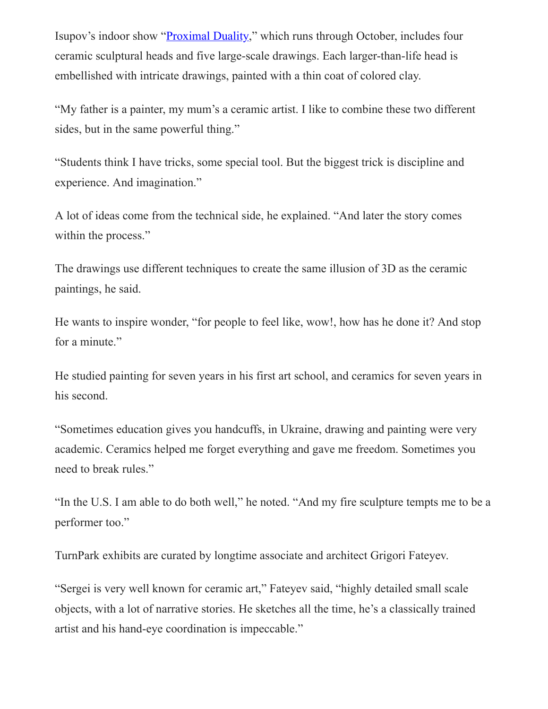Isupov's indoor show "[Proximal Duality](https://www.turnpark.com/program/exhibitions_projects/sergei-isupov-sculptures-and-drawings)," which runs through October, includes four ceramic sculptural heads and five large-scale drawings. Each larger-than-life head is embellished with intricate drawings, painted with a thin coat of colored clay.

"My father is a painter, my mum's a ceramic artist. I like to combine these two different sides, but in the same powerful thing."

"Students think I have tricks, some special tool. But the biggest trick is discipline and experience. And imagination."

A lot of ideas come from the technical side, he explained. "And later the story comes within the process."

The drawings use different techniques to create the same illusion of 3D as the ceramic paintings, he said.

He wants to inspire wonder, "for people to feel like, wow!, how has he done it? And stop for a minute."

He studied painting for seven years in his first art school, and ceramics for seven years in his second.

"Sometimes education gives you handcuffs, in Ukraine, drawing and painting were very academic. Ceramics helped me forget everything and gave me freedom. Sometimes you need to break rules."

"In the U.S. I am able to do both well," he noted. "And my fire sculpture tempts me to be a performer too."

TurnPark exhibits are curated by longtime associate and architect Grigori Fateyev.

"Sergei is very well known for ceramic art," Fateyev said, "highly detailed small scale objects, with a lot of narrative stories. He sketches all the time, he's a classically trained artist and his hand-eye coordination is impeccable."